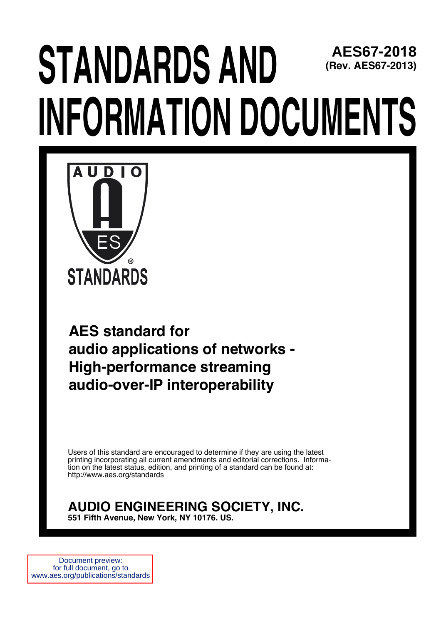# **STANDARDS AND INFORMATION DOCUMENTS AES67-2018 (Rev. AES67-2013)**



**rd for<br>
cations of networks -<br>
<b>mance streaming**<br> **P interoperability**<br> **encouraged to determine if they are using the latest**<br>
urrent amendments and editorial corrections. Informa-<br> **WEERING SOCIETY. INC. AES standard for audio applications of networks - High-performance streaming audio-over-IP interoperability**

Users of this standard are encouraged to determine if they are using the latest printing incorporating all current amendments and editorial corrections. Information on the latest status, edition, and printing of a standard can be found at: http://www.aes.org/standards

#### **AUDIO ENGINEERING SOCIETY, INC. 551 Fifth Avenue, New York, NY 10176. US.**

Document preview: for full document, go to www.aes.org/publications/standards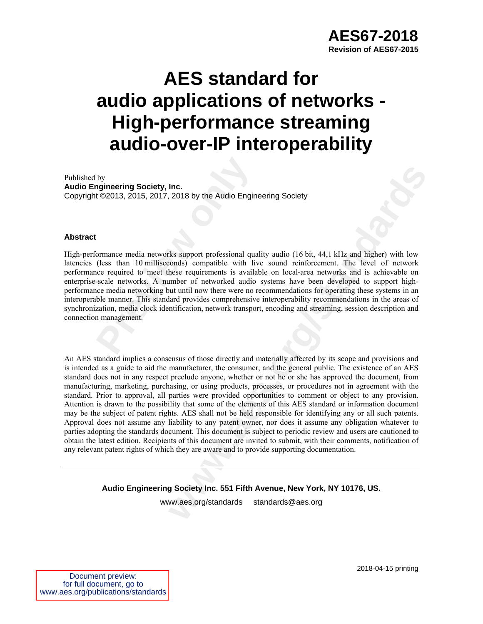## **AES standard for audio applications of networks - High-performance streaming audio-over-IP interoperability**

Published by **Audio Engineering Society, Inc.**  Copyright ©2013, 2015, 2017, 2018 by the Audio Engineering Society

#### **Abstract**

by<br> **Prophering Society, Inc.**<br> **Propherical Propherical Society, 10.**<br> **Propherical Art COVICE 10.**<br> **Propherical COVICE 10.**<br> **Propherical COVICE 10.**<br> **Propherical COVICE 10.**<br> **Propherical Art COVICE 10.**<br> **Propheric** High-performance media networks support professional quality audio (16 bit, 44,1 kHz and higher) with low latencies (less than 10 milliseconds) compatible with live sound reinforcement. The level of network performance required to meet these requirements is available on local-area networks and is achievable on enterprise-scale networks. A number of networked audio systems have been developed to support highperformance media networking but until now there were no recommendations for operating these systems in an interoperable manner. This standard provides comprehensive interoperability recommendations in the areas of synchronization, media clock identification, network transport, encoding and streaming, session description and connection management.

**Inc.**<br>2018 by the Audio Engineering Society<br>2018 by the Audio Engineering Society<br>2018 by the Audio Engineering Society<br>2018 by the sound reinforcement. The level of network-<br>hese requirements is available on local-area n An AES standard implies a consensus of those directly and materially affected by its scope and provisions and is intended as a guide to aid the manufacturer, the consumer, and the general public. The existence of an AES standard does not in any respect preclude anyone, whether or not he or she has approved the document, from manufacturing, marketing, purchasing, or using products, processes, or procedures not in agreement with the standard. Prior to approval, all parties were provided opportunities to comment or object to any provision. Attention is drawn to the possibility that some of the elements of this AES standard or information document may be the subject of patent rights. AES shall not be held responsible for identifying any or all such patents. Approval does not assume any liability to any patent owner, nor does it assume any obligation whatever to parties adopting the standards document. This document is subject to periodic review and users are cautioned to obtain the latest edition. Recipients of this document are invited to submit, with their comments, notification of any relevant patent rights of which they are aware and to provide supporting documentation.

**Audio Engineering Society Inc. 551 Fifth Avenue, New York, NY 10176, US.** 

www.aes.org/standards standards@aes.org

Document preview: for full document, go to www.aes.org/publications/standards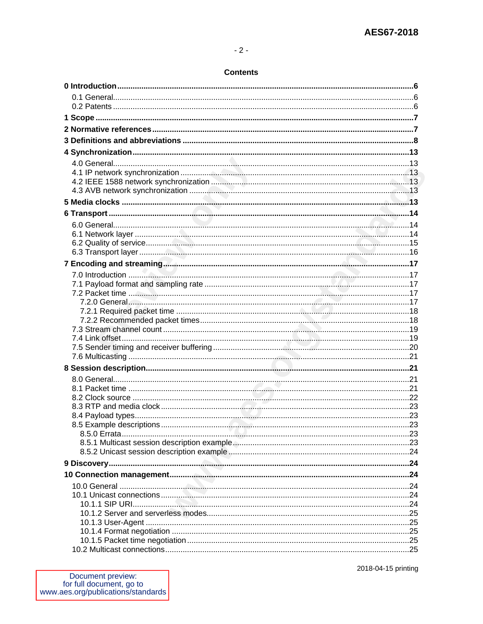#### **Contents**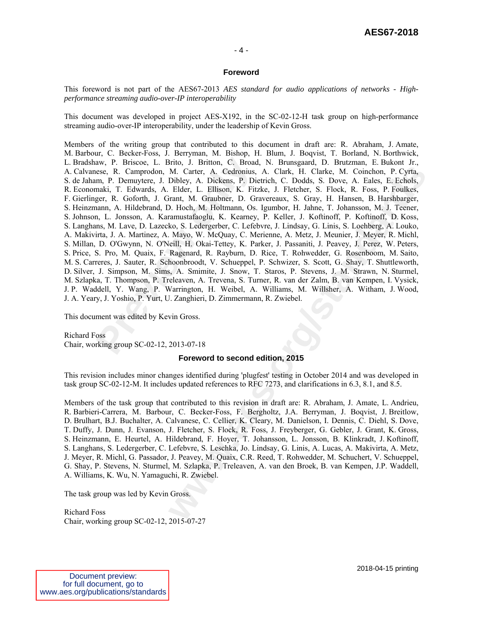#### **AES67-2018**

#### - 4 -

#### **Foreword**

This foreword is not part of the AES67-2013 *AES standard for audio applications of networks - Highperformance streaming audio-over-IP interoperability* 

This document was developed in project AES-X192, in the SC-02-12-H task group on high-performance streaming audio-over-IP interoperability, under the leadership of Kevin Gross.

aw, P. Briscoe, L. Brito, J. Britton, C. Broad<br>ese, R. Camprodon, M. Carter, A. Cedronius,<br>m, P. Demuytere, J. Dibley, A. Dickens, P. Di<br>maki, T. Edwards, A. Elder, L. Ellison, K. Fit.<br>ger, R. Goforth, J. Grant, M. Graubne M. Carter, A. Ceatronius, A. Clark, H. Clarke, M. Coinchon, P. Cyria, N. Dibitoly, A. Dickens, P. Dierich, C. Doidds, S. Dove, A. False, F. Forbids, S. Diere, L. Ellison, K. Frizke, J. Fleicher, S. Flock, R. Foss, P. Fouli Members of the writing group that contributed to this document in draft are: R. Abraham, J. Amate, M. Barbour, C. Becker-Foss, J. Berryman, M. Bishop, H. Blum, J. Boqvist, T. Borland, N. Borthwick, L. Bradshaw, P. Briscoe, L. Brito, J. Britton, C. Broad, N. Brunsgaard, D. Brutzman, E. Bukont Jr., A. Calvanese, R. Camprodon, M. Carter, A. Cedronius, A. Clark, H. Clarke, M. Coinchon, P. Cyrta, S. de Jaham, P. Demuytere, J. Dibley, A. Dickens, P. Dietrich, C. Dodds, S. Dove, A. Eales, E. Echols, R. Economaki, T. Edwards, A. Elder, L. Ellison, K. Fitzke, J. Fletcher, S. Flock, R. Foss, P. Foulkes, F. Gierlinger, R. Goforth, J. Grant, M. Graubner, D. Gravereaux, S. Gray, H. Hansen, B. Harshbarger, S. Heinzmann, A. Hildebrand, D. Hoch, M. Holtmann, Os. Igumbor, H. Jahne, T. Johansson, M. J. Teener, S. Johnson, L. Jonsson, A. Karamustafaoglu, K. Kearney, P. Keller, J. Koftinoff, P. Koftinoff, D. Koss, S. Langhans, M. Lave, D. Lazecko, S. Ledergerber, C. Lefebvre, J. Lindsay, G. Linis, S. Loehberg, A. Louko, A. Makivirta, J. A. Martinez, A. Mayo, W. McQuay, C. Merienne, A. Metz, J. Meunier, J. Meyer, R. Michl, S. Millan, D. O'Gwynn, N. O'Neill, H. Okai-Tettey, K. Parker, J. Passaniti, J. Peavey, J. Perez, W. Peters, S. Price, S. Pro, M. Quaix, F. Ragenard, R. Rayburn, D. Rice, T. Rohwedder, G. Rosenboom, M. Saito, M. S. Carreres, J. Sauter, R. Schoonbroodt, V. Schueppel, P. Schwizer, S. Scott, G. Shay, T. Shuttleworth, D. Silver, J. Simpson, M. Sims, A. Smimite, J. Snow, T. Staros, P. Stevens, J. M. Strawn, N. Sturmel, M. Szlapka, T. Thompson, P. Treleaven, A. Trevena, S. Turner, R. van der Zalm, B. van Kempen, I. Vysick, J. P. Waddell, Y. Wang, P. Warrington, H. Weibel, A. Williams, M. Willsher, A. Witham, J. Wood, J. A. Yeary, J. Yoshio, P. Yurt, U. Zanghieri, D. Zimmermann, R. Zwiebel.

This document was edited by Kevin Gross.

Richard Foss Chair, working group SC-02-12, 2013-07-18

#### **Foreword to second edition, 2015**

This revision includes minor changes identified during 'plugfest' testing in October 2014 and was developed in task group SC-02-12-M. It includes updated references to RFC 7273, and clarifications in 6.3, 8.1, and 8.5.

Members of the task group that contributed to this revision in draft are: R. Abraham, J. Amate, L. Andrieu, R. Barbieri-Carrera, M. Barbour, C. Becker-Foss, F. Bergholtz, J.A. Berryman, J. Boqvist, J. Breitlow, D. Brulhart, B.J. Buchalter, A. Calvanese, C. Cellier, K. Cleary, M. Danielson, I. Dennis, C. Diehl, S. Dove, T. Duffy, J. Dunn, J. Evanson, J. Fletcher, S. Flock, R. Foss, J. Freyberger, G. Gebler, J. Grant, K. Gross, S. Heinzmann, E. Heurtel, A. Hildebrand, F. Hoyer, T. Johansson, L. Jonsson, B. Klinkradt, J. Koftinoff, S. Langhans, S. Ledergerber, C. Lefebvre, S. Leschka, Jo. Lindsay, G. Linis, A. Lucas, A. Makivirta, A. Metz, J. Meyer, R. Michl, G. Passador, J. Peavey, M. Quaix, C.R. Reed, T. Rohwedder, M. Schuchert, V. Schueppel, G. Shay, P. Stevens, N. Sturmel, M. Szlapka, P. Treleaven, A. van den Broek, B. van Kempen, J.P. Waddell, A. Williams, K. Wu, N. Yamaguchi, R. Zwiebel.

The task group was led by Kevin Gross.

Richard Foss Chair, working group SC-02-12, 2015-07-27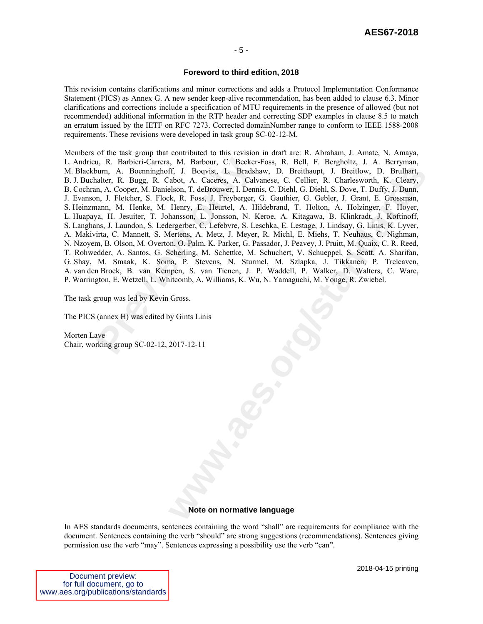#### **Foreword to third edition, 2018**

This revision contains clarifications and minor corrections and adds a Protocol Implementation Conformance Statement (PICS) as Annex G. A new sender keep-alive recommendation, has been added to clause 6.3. Minor clarifications and corrections include a specification of MTU requirements in the presence of allowed (but not recommended) additional information in the RTP header and correcting SDP examples in clause 8.5 to match an erratum issued by the IETF on RFC 7273. Corrected domainNumber range to conform to IEEE 1588-2008 requirements. These revisions were developed in task group SC-02-12-M.

u, R. Barbieri-Carrera, M. Barbour, C. Becker<br>purn, A. Boenninghoff, J. Boqvist, L. Bradshalter, R. Bugg, R. Cabot, A. Caceres, A. Calva<br>m, A. Cooper, M. Danielson, T. deBrouwer, I. Denn<br>m, J. Fletcher, S. Flock, R. Foss, II. J. Boqvist, L. Brackhaw, D. Brithaupt, J. Breithov, D. Brulhart, A. Gaeres, A. Calviesce, C. Eldier, R. Charlessorth, K. Cleary, L. Standard, T. Hothy, J. Dunn, Elemy, E. For the H. A. Hothy, D. Dunn, Henry, E. Heurtel Members of the task group that contributed to this revision in draft are: R. Abraham, J. Amate, N. Amaya, L. Andrieu, R. Barbieri-Carrera, M. Barbour, C. Becker-Foss, R. Bell, F. Bergholtz, J. A. Berryman, M. Blackburn, A. Boenninghoff, J. Boqvist, L. Bradshaw, D. Breithaupt, J. Breitlow, D. Brulhart, B. J. Buchalter, R. Bugg, R. Cabot, A. Caceres, A. Calvanese, C. Cellier, R. Charlesworth, K. Cleary, B. Cochran, A. Cooper, M. Danielson, T. deBrouwer, I. Dennis, C. Diehl, G. Diehl, S. Dove, T. Duffy, J. Dunn, J. Evanson, J. Fletcher, S. Flock, R. Foss, J. Freyberger, G. Gauthier, G. Gebler, J. Grant, E. Grossman, S. Heinzmann, M. Henke, M. Henry, E. Heurtel, A. Hildebrand, T. Holton, A. Holzinger, F. Hoyer, L. Huapaya, H. Jesuiter, T. Johansson, L. Jonsson, N. Keroe, A. Kitagawa, B. Klinkradt, J. Koftinoff, S. Langhans, J. Laundon, S. Ledergerber, C. Lefebvre, S. Leschka, E. Lestage, J. Lindsay, G. Linis, K. Lyver, A. Makivirta, C. Mannett, S. Mertens, A. Metz, J. Meyer, R. Michl, E. Miehs, T. Neuhaus, C. Nighman, N. Nzoyem, B. Olson, M. Overton, O. Palm, K. Parker, G. Passador, J. Peavey, J. Pruitt, M. Quaix, C. R. Reed, T. Rohwedder, A. Santos, G. Scherling, M. Schettke, M. Schuchert, V. Schueppel, S. Scott, A. Sharifan, G. Shay, M. Smaak, K. Soma, P. Stevens, N. Sturmel, M. Szlapka, J. Tikkanen, P. Treleaven, A. van den Broek, B. van Kempen, S. van Tienen, J. P. Waddell, P. Walker, D. Walters, C. Ware, P. Warrington, E. Wetzell, L. Whitcomb, A. Williams, K. Wu, N. Yamaguchi, M. Yonge, R. Zwiebel.

The task group was led by Kevin Gross.

The PICS (annex H) was edited by Gints Linis

Morten Lave Chair, working group SC-02-12, 2017-12-11

#### **Note on normative language**

In AES standards documents, sentences containing the word "shall" are requirements for compliance with the document. Sentences containing the verb "should" are strong suggestions (recommendations). Sentences giving permission use the verb "may". Sentences expressing a possibility use the verb "can".

| Document preview:                  |
|------------------------------------|
| for full document, go to           |
| www.aes.org/publications/standards |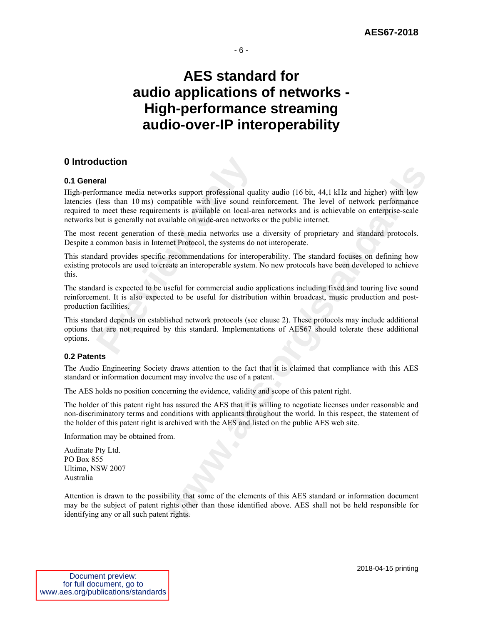### **AES standard for audio applications of networks - High-performance streaming audio-over-IP interoperability**

#### **0 Introduction**

#### **0.1 General**

**Previous Follow Symbol Symbol Symbol Symbol Symbol Symbol (less than 10 ms) compatible with live sound re o meet these requirements is available on local-arbut is generally not available on wide-area networks recent gener** ks support professional quality audio (16 bit, 44,1 kHz and higher) with low<br>papible with live sound reinforcement. The level of retevork performance<br>particle with live sound reinforcement. The level of retevork performanc High-performance media networks support professional quality audio (16 bit, 44,1 kHz and higher) with low latencies (less than 10 ms) compatible with live sound reinforcement. The level of network performance required to meet these requirements is available on local-area networks and is achievable on enterprise-scale networks but is generally not available on wide-area networks or the public internet.

The most recent generation of these media networks use a diversity of proprietary and standard protocols. Despite a common basis in Internet Protocol, the systems do not interoperate.

This standard provides specific recommendations for interoperability. The standard focuses on defining how existing protocols are used to create an interoperable system. No new protocols have been developed to achieve this.

The standard is expected to be useful for commercial audio applications including fixed and touring live sound reinforcement. It is also expected to be useful for distribution within broadcast, music production and postproduction facilities.

This standard depends on established network protocols (see clause 2). These protocols may include additional options that are not required by this standard. Implementations of AES67 should tolerate these additional options.

#### **0.2 Patents**

The Audio Engineering Society draws attention to the fact that it is claimed that compliance with this AES standard or information document may involve the use of a patent.

The AES holds no position concerning the evidence, validity and scope of this patent right.

The holder of this patent right has assured the AES that it is willing to negotiate licenses under reasonable and non-discriminatory terms and conditions with applicants throughout the world. In this respect, the statement of the holder of this patent right is archived with the AES and listed on the public AES web site.

Information may be obtained from.

Audinate Pty Ltd. PO Box 855 Ultimo, NSW 2007 Australia

Attention is drawn to the possibility that some of the elements of this AES standard or information document may be the subject of patent rights other than those identified above. AES shall not be held responsible for identifying any or all such patent rights.